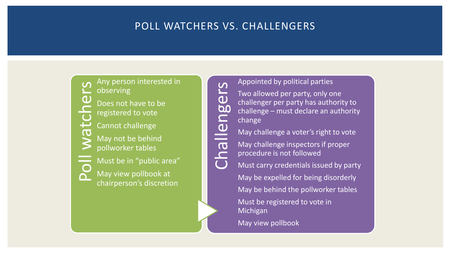## POLL WATCHERS VS. CHALLENGERS



Any person interested in observing Does not have to be registered to vote Cannot challenge May not be behind pollworker tables Must be in "public area"

May view pollbook at chairperson's discretion Appointed by political parties

Challengers Two allowed per party, only one challenger per party has authority to challenge – must declare an authority change

May challenge a voter's right to vote

May challenge inspectors if proper procedure is not followed

Must carry credentials issued by party May be expelled for being disorderly May be behind the pollworker tables Must be registered to vote in Michigan

May view pollbook